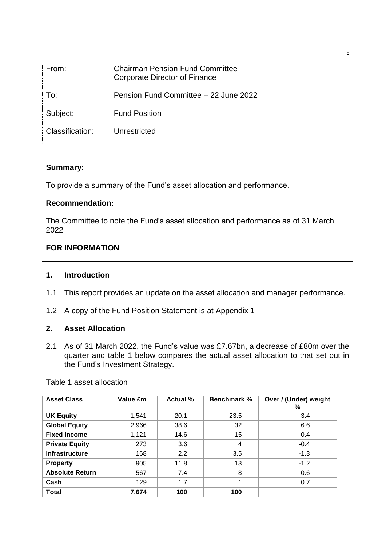| From:           | <b>Chairman Pension Fund Committee</b><br>Corporate Director of Finance |
|-----------------|-------------------------------------------------------------------------|
| To:             | Pension Fund Committee - 22 June 2022                                   |
| Subject:        | <b>Fund Position</b>                                                    |
| Classification: | Unrestricted                                                            |

# **Summary:**

To provide a summary of the Fund's asset allocation and performance.

## **Recommendation:**

The Committee to note the Fund's asset allocation and performance as of 31 March 2022

# **FOR INFORMATION**

#### **1. Introduction**

- 1.1 This report provides an update on the asset allocation and manager performance.
- 1.2 A copy of the Fund Position Statement is at Appendix 1

### **2. Asset Allocation**

2.1 As of 31 March 2022, the Fund's value was £7.67bn, a decrease of £80m over the quarter and table 1 below compares the actual asset allocation to that set out in the Fund's Investment Strategy.

Table 1 asset allocation

| <b>Asset Class</b>     | Value £m | Actual % | <b>Benchmark %</b> | Over / (Under) weight<br>% |
|------------------------|----------|----------|--------------------|----------------------------|
| <b>UK Equity</b>       | 1,541    | 20.1     | 23.5               | $-3.4$                     |
| <b>Global Equity</b>   | 2,966    | 38.6     | 32                 | 6.6                        |
| <b>Fixed Income</b>    | 1,121    | 14.6     | 15                 | $-0.4$                     |
| <b>Private Equity</b>  | 273      | 3.6      | $\overline{4}$     | $-0.4$                     |
| <b>Infrastructure</b>  | 168      | 2.2      | 3.5                | $-1.3$                     |
| <b>Property</b>        | 905      | 11.8     | 13                 | $-1.2$                     |
| <b>Absolute Return</b> | 567      | 7.4      | 8                  | $-0.6$                     |
| Cash                   | 129      | 1.7      | 1                  | 0.7                        |
| <b>Total</b>           | 7,674    | 100      | 100                |                            |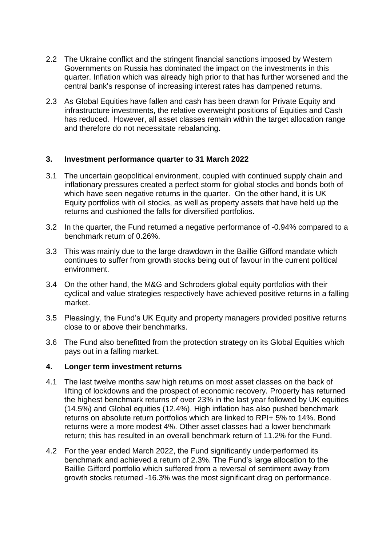- 2.2 The Ukraine conflict and the stringent financial sanctions imposed by Western Governments on Russia has dominated the impact on the investments in this quarter. Inflation which was already high prior to that has further worsened and the central bank's response of increasing interest rates has dampened returns.
- 2.3 As Global Equities have fallen and cash has been drawn for Private Equity and infrastructure investments, the relative overweight positions of Equities and Cash has reduced. However, all asset classes remain within the target allocation range and therefore do not necessitate rebalancing.

# **3. Investment performance quarter to 31 March 2022**

- 3.1 The uncertain geopolitical environment, coupled with continued supply chain and inflationary pressures created a perfect storm for global stocks and bonds both of which have seen negative returns in the quarter. On the other hand, it is UK Equity portfolios with oil stocks, as well as property assets that have held up the returns and cushioned the falls for diversified portfolios.
- 3.2 In the quarter, the Fund returned a negative performance of -0.94% compared to a benchmark return of 0.26%.
- 3.3 This was mainly due to the large drawdown in the Baillie Gifford mandate which continues to suffer from growth stocks being out of favour in the current political environment.
- 3.4 On the other hand, the M&G and Schroders global equity portfolios with their cyclical and value strategies respectively have achieved positive returns in a falling market.
- 3.5 Pleasingly, the Fund's UK Equity and property managers provided positive returns close to or above their benchmarks.
- 3.6 The Fund also benefitted from the protection strategy on its Global Equities which pays out in a falling market.

# **4. Longer term investment returns**

- 4.1 The last twelve months saw high returns on most asset classes on the back of lifting of lockdowns and the prospect of economic recovery. Property has returned the highest benchmark returns of over 23% in the last year followed by UK equities (14.5%) and Global equities (12.4%). High inflation has also pushed benchmark returns on absolute return portfolios which are linked to RPI+ 5% to 14%. Bond returns were a more modest 4%. Other asset classes had a lower benchmark return; this has resulted in an overall benchmark return of 11.2% for the Fund.
- 4.2 For the year ended March 2022, the Fund significantly underperformed its benchmark and achieved a return of 2.3%. The Fund's large allocation to the Baillie Gifford portfolio which suffered from a reversal of sentiment away from growth stocks returned -16.3% was the most significant drag on performance.